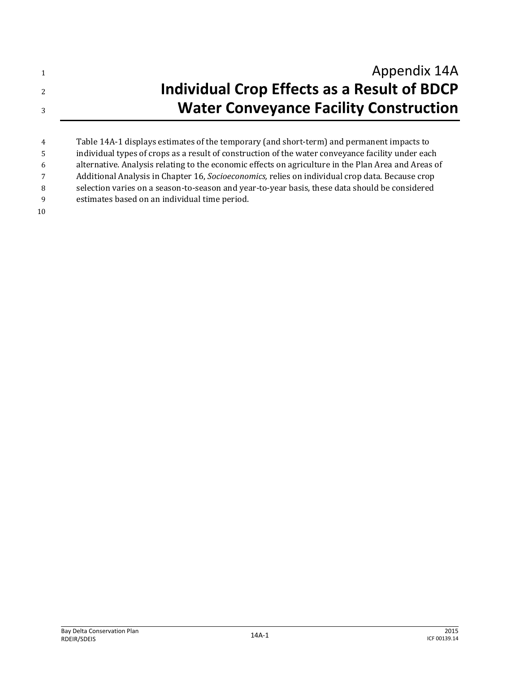| Appendix 14A                                  |
|-----------------------------------------------|
| Individual Crop Effects as a Result of BDCP   |
| <b>Water Conveyance Facility Construction</b> |

 Table 14A-1 displays estimates of the temporary (and short-term) and permanent impacts to individual types of crops as a result of construction of the water conveyance facility under each alternative. Analysis relating to the economic effects on agriculture in the Plan Area and Areas of Additional Analysis in Chapter 16, *Socioeconomics,* relies on individual crop data. Because crop selection varies on a season-to-season and year-to-year basis, these data should be considered estimates based on an individual time period.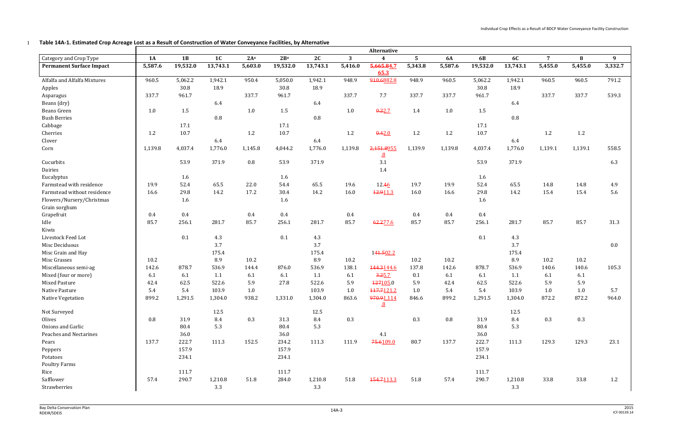Individual Crop Effects as a Result of BDCP Water Conveyance Facility Construction

1 **Table 14A-1. Estimated Crop Acreage Lost as a Result of Construction of Water Conveyance Facilities, by Alternative**

|                                 |         | Alternative |                |         |                 |          |         |                         |                |           |            |           |                |         |                  |
|---------------------------------|---------|-------------|----------------|---------|-----------------|----------|---------|-------------------------|----------------|-----------|------------|-----------|----------------|---------|------------------|
| Category and Crop Type          | 1A      | 1B          | 1 <sub>C</sub> | $2A^a$  | 2B <sup>a</sup> | 2C       | 3       | $\overline{\mathbf{4}}$ | 5 <sup>5</sup> | <b>6A</b> | 6 <b>B</b> | <b>6C</b> | $\overline{7}$ | 8       | $\boldsymbol{9}$ |
| <b>Permanent Surface Impact</b> | 5,587.6 | 19,532.0    | 13,743.1       | 5,603.0 | 19,532.0        | 13,743.1 | 5,416.0 | 5,665.84.7<br>65.3      | 5,343.8        | 5,587.6   | 19,532.0   | 13,743.1  | 5,455.0        | 5,455.0 | 3,332.7          |
| Alfalfa and Alfalfa Mixtures    | 960.5   | 5,062.2     | 1,942.1        | 950.4   | 5,050.0         | 1,942.1  | 948.9   | 910.6882.8              | 948.9          | 960.5     | 5,062.2    | 1,942.1   | 960.5          | 960.5   | 791.2            |
| Apples                          |         | 30.8        | 18.9           |         | 30.8            | 18.9     |         |                         |                |           | 30.8       | 18.9      |                |         |                  |
| Asparagus                       | 337.7   | 961.7       |                | 337.7   | 961.7           |          | 337.7   | 7.7                     | 337.7          | 337.7     | 961.7      |           | 337.7          | 337.7   | 539.3            |
| Beans (dry)                     |         |             | 6.4            |         |                 | 6.4      |         |                         |                |           |            | 6.4       |                |         |                  |
| <b>Beans Green</b>              | 1.0     | 1.5         |                | 1.0     | 1.5             |          | 1.0     | 0.22.7                  | 1.4            | $1.0$     | 1.5        |           |                |         |                  |
| <b>Bush Berries</b>             |         |             | 0.8            |         |                 | 0.8      |         |                         |                |           |            | $0.8\,$   |                |         |                  |
| Cabbage                         |         | 17.1        |                |         | 17.1            |          |         |                         |                |           | 17.1       |           |                |         |                  |
| Cherries                        | 1.2     | 10.7        |                | 1.2     | 10.7            |          | 1.2     | 0.42.0                  | 1.2            | 1.2       | 10.7       |           | 1.2            | 1.2     |                  |
| Clover                          |         |             | 6.4            |         |                 | 6.4      |         |                         |                |           |            | 6.4       |                |         |                  |
| Corn                            | 1,139.8 | 4,037.4     | 1,776.0        | 1,145.8 | 4,044.2         | 1,776.0  | 1,139.8 | 2,151.8955<br><u>.8</u> | 1,139.9        | 1,139.8   | 4,037.4    | 1,776.0   | 1,139.1        | 1,139.1 | 558.5            |
| Cucurbits                       |         | 53.9        | 371.9          | 0.8     | 53.9            | 371.9    |         | 3.1                     |                |           | 53.9       | 371.9     |                |         | 6.3              |
| Dairies                         |         |             |                |         |                 |          |         | 1.4                     |                |           |            |           |                |         |                  |
| Eucalyptus                      |         | 1.6         |                |         | 1.6             |          |         |                         |                |           | 1.6        |           |                |         |                  |
| Farmstead with residence        | 19.9    | 52.4        | 65.5           | 22.0    | 54.4            | 65.5     | 19.6    | 12.46                   | 19.7           | 19.9      | 52.4       | 65.5      | 14.8           | 14.8    | 4.9              |
| Farmstead without residence     | 16.6    | 29.8        | 14.2           | 17.2    | 30.4            | 14.2     | 16.0    | 12.911.3                | 16.0           | 16.6      | 29.8       | 14.2      | 15.4           | 15.4    | 5.6              |
| Flowers/Nursery/Christmas       |         | 1.6         |                |         | 1.6             |          |         |                         |                |           | 1.6        |           |                |         |                  |
| Grain sorghum                   |         |             |                |         |                 |          |         |                         |                |           |            |           |                |         |                  |
| Grapefruit                      | 0.4     | $0.4\,$     |                | 0.4     | $0.4\,$         |          | 0.4     |                         | 0.4            | 0.4       | $0.4\,$    |           |                |         |                  |
| Idle                            | 85.7    | 256.1       | 281.7          | 85.7    | 256.1           | 281.7    | 85.7    | 62.277.6                | 85.7           | 85.7      | 256.1      | 281.7     | 85.7           | 85.7    | 31.3             |
| Kiwis                           |         |             |                |         |                 |          |         |                         |                |           |            |           |                |         |                  |
| Livestock Feed Lot              |         | 0.1         | 4.3            |         | 0.1             | 4.3      |         |                         |                |           | 0.1        | 4.3       |                |         |                  |
| Misc Deciduous                  |         |             | 3.7            |         |                 | 3.7      |         |                         |                |           |            | 3.7       |                |         | $0.0\,$          |
| Misc Grain and Hay              |         |             | 175.4          |         |                 | 175.4    |         | 141.502.2               |                |           |            | 175.4     |                |         |                  |
| Misc Grasses                    | 10.2    |             | 8.9            | 10.2    |                 | 8.9      | 10.2    |                         | 10.2           | 10.2      |            | 8.9       | 10.2           | 10.2    |                  |
| Miscellaneous semi-ag           | 142.6   | 878.7       | 536.9          | 144.4   | 876.0           | 536.9    | 138.1   | 144.3144.6              | 137.8          | 142.6     | 878.7      | 536.9     | 140.6          | 140.6   | 105.3            |
| Mixed (four or more)            | 6.1     | 6.1         | 1.1            | 6.1     | 6.1             | 1.1      | 6.1     | 3.25.7                  | 0.1            | 6.1       | 6.1        | 1.1       | 6.1            | 6.1     |                  |
| <b>Mixed Pasture</b>            | 42.4    | 62.5        | 522.6          | 5.9     | 27.8            | 522.6    | 5.9     | 127105.0                | 5.9            | 42.4      | 62.5       | 522.6     | 5.9            | 5.9     |                  |
| Native Pasture                  | 5.4     | 5.4         | 103.9          | $1.0\,$ |                 | 103.9    | 1.0     | 117.7121.2              | 1.0            | 5.4       | 5.4        | 103.9     | 1.0            | 1.0     | 5.7              |
| Native Vegetation               | 899.2   | 1,291.5     | 1,304.0        | 938.2   | 1,331.0         | 1,304.0  | 863.6   | 970.91,114<br><u>.8</u> | 846.6          | 899.2     | 1,291.5    | 1,304.0   | 872.2          | 872.2   | 964.0            |
| Not Surveyed                    |         |             | 12.5           |         |                 | 12.5     |         |                         |                |           |            | 12.5      |                |         |                  |
| Olives                          | 0.8     | 31.9        | 8.4            | 0.3     | 31.3            | 8.4      | 0.3     |                         | 0.3            | 0.8       | 31.9       | 8.4       | 0.3            | $0.3\,$ |                  |
| Onions and Garlic               |         | 80.4        | 5.3            |         | 80.4            | 5.3      |         |                         |                |           | 80.4       | 5.3       |                |         |                  |
| Peaches and Nectarines          |         | 36.0        |                |         | 36.0            |          |         | 4.1                     |                |           | 36.0       |           |                |         |                  |
| Pears                           | 137.7   | 222.7       | 111.3          | 152.5   | 234.2           | 111.3    | 111.9   | 75.6109.0               | 80.7           | 137.7     | 222.7      | 111.3     | 129.3          | 129.3   | 23.1             |
| Peppers                         |         | 157.9       |                |         | 157.9           |          |         |                         |                |           | 157.9      |           |                |         |                  |
| Potatoes                        |         | 234.1       |                |         | 234.1           |          |         |                         |                |           | 234.1      |           |                |         |                  |
| <b>Poultry Farms</b>            |         |             |                |         |                 |          |         |                         |                |           |            |           |                |         |                  |
| Rice                            |         | 111.7       |                |         | 111.7           |          |         |                         |                |           | 111.7      |           |                |         |                  |
| Safflower                       | 57.4    | 290.7       | 1,210.8        | 51.8    | 284.0           | 1,210.8  | 51.8    | 154.7113.3              | 51.8           | 57.4      | 290.7      | 1,210.8   | 33.8           | 33.8    | 1.2              |
| Strawberries                    |         |             | 3.3            |         |                 | 3.3      |         |                         |                |           |            | 3.3       |                |         |                  |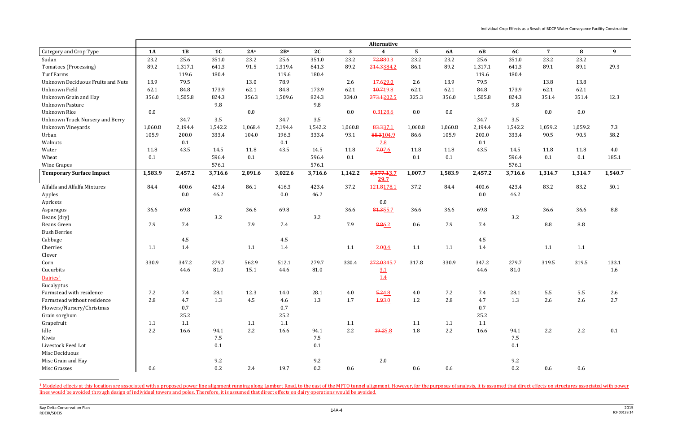Individual Crop Effects as a Result of BDCP Water Conveyance Facility Construction

 $\overline{\phantom{0}}$ 

|                                          |           |         |                |                 |                 |         |         | Alternative        |                 |           |            |           |                |         |         |
|------------------------------------------|-----------|---------|----------------|-----------------|-----------------|---------|---------|--------------------|-----------------|-----------|------------|-----------|----------------|---------|---------|
| Category and Crop Type                   | <b>1A</b> | 1B      | 1 <sub>C</sub> | 2A <sup>a</sup> | 2B <sup>a</sup> | 2C      | 3       | $\boldsymbol{4}$   | $5\phantom{.0}$ | <b>6A</b> | 6 <b>B</b> | <b>6C</b> | $\overline{7}$ | 8       | 9       |
| Sudan                                    | 23.2      | 25.6    | 351.0          | 23.2            | 25.6            | 351.0   | 23.2    | 72.880.3           | 23.2            | 23.2      | 25.6       | 351.0     | 23.2           | 23.2    |         |
| Tomatoes (Processing)                    | 89.2      | 1,317.1 | 641.3          | 91.5            | 1,319.4         | 641.3   | 89.2    | 214.3384.2         | 86.1            | 89.2      | 1,317.1    | 641.3     | 89.1           | 89.1    | 29.3    |
| <b>Turf Farms</b>                        |           | 119.6   | 180.4          |                 | 119.6           | 180.4   |         |                    |                 |           | 119.6      | 180.4     |                |         |         |
| <b>Unknown Deciduous Fruits and Nuts</b> | 13.9      | 79.5    |                | 13.0            | 78.9            |         | 2.6     | 17.629.0           | 2.6             | 13.9      | 79.5       |           | 13.8           | 13.8    |         |
| Unknown Field                            | 62.1      | 84.8    | 173.9          | 62.1            | 84.8            | 173.9   | 62.1    | 10.719.8           | 62.1            | 62.1      | 84.8       | 173.9     | 62.1           | 62.1    |         |
| Unknown Grain and Hay                    | 356.0     | 1,505.8 | 824.3          | 356.3           | 1,509.6         | 824.3   | 334.0   | 273.1202.5         | 325.3           | 356.0     | 1,505.8    | 824.3     | 351.4          | 351.4   | 12.3    |
| <b>Unknown Pasture</b>                   |           |         | 9.8            |                 |                 | 9.8     |         |                    |                 |           |            | 9.8       |                |         |         |
| <b>Unknown Rice</b>                      | 0.0       |         |                | 0.0             |                 |         | 0.0     | 0.3128.6           | 0.0             | 0.0       |            |           | 0.0            | 0.0     |         |
| <b>Unknown Truck Nursery and Berry</b>   |           | 34.7    | 3.5            |                 | 34.7            | 3.5     |         |                    |                 |           | 34.7       | 3.5       |                |         |         |
| <b>Unknown Vineyards</b>                 | 1,060.8   | 2,194.4 | 1,542.2        | 1,068.4         | 2,194.4         | 1,542.2 | 1,060.8 | 83.337.1           | 1,060.8         | 1,060.8   | 2,194.4    | 1,542.2   | 1,059.2        | 1,059.2 | 7.3     |
| Urban                                    | 105.9     | 200.0   | 333.4          | 104.0           | 196.3           | 333.4   | 93.1    | 85.3104.9          | 86.6            | 105.9     | 200.0      | 333.4     | 90.5           | 90.5    | 58.2    |
| Walnuts                                  |           | 0.1     |                |                 | 0.1             |         |         | 2.8                |                 |           | 0.1        |           |                |         |         |
| Water                                    | 11.8      | 43.5    | 14.5           | 11.8            | 43.5            | 14.5    | 11.8    | 7.076              | 11.8            | 11.8      | 43.5       | 14.5      | 11.8           | 11.8    | 4.0     |
| Wheat                                    | 0.1       |         | 596.4          | 0.1             |                 | 596.4   | 0.1     |                    | 0.1             | 0.1       |            | 596.4     | 0.1            | 0.1     | 185.1   |
| Wine Grapes                              |           |         | 576.1          |                 |                 | 576.1   |         |                    |                 |           |            | 576.1     |                |         |         |
| <b>Temporary Surface Impact</b>          | 1,583.9   | 2,457.2 | 3,716.6        | 2,091.6         | 3,022.6         | 3,716.6 | 1,142.2 | 3,577.13.7<br>29.7 | 1,007.7         | 1,583.9   | 2,457.2    | 3,716.6   | 1,314.7        | 1,314.7 | 1,540.7 |
| Alfalfa and Alfalfa Mixtures             | 84.4      | 400.6   | 423.4          | 86.1            | 416.3           | 423.4   | 37.2    | 121.8178.1         | 37.2            | 84.4      | 400.6      | 423.4     | 83.2           | 83.2    | $50.1$  |
| Apples                                   |           | 0.0     | 46.2           |                 | 0.0             | 46.2    |         |                    |                 |           | 0.0        | 46.2      |                |         |         |
| Apricots                                 |           |         |                |                 |                 |         |         | $0.0\,$            |                 |           |            |           |                |         |         |
| Asparagus                                | 36.6      | 69.8    |                | 36.6            | 69.8            |         | 36.6    | 81.355.7           | 36.6            | 36.6      | 69.8       |           | 36.6           | 36.6    | 8.8     |
| Beans (dry)                              |           |         | 3.2            |                 |                 | 3.2     |         |                    |                 |           |            | 3.2       |                |         |         |
| <b>Beans Green</b>                       | 7.9       | 7.4     |                | 7.9             | 7.4             |         | 7.9     | 8.86.2             | 0.6             | 7.9       | 7.4        |           | 8.8            | 8.8     |         |
| <b>Bush Berries</b>                      |           |         |                |                 |                 |         |         |                    |                 |           |            |           |                |         |         |
| Cabbage                                  |           | 4.5     |                |                 | 4.5             |         |         |                    |                 |           | 4.5        |           |                |         |         |
| Cherries                                 | 1.1       | 1.4     |                | 1.1             | 1.4             |         | 1.1     | 2.00.4             | 1.1             | 1.1       | 1.4        |           | 1.1            | 1.1     |         |
| Clover                                   |           |         |                |                 |                 |         |         |                    |                 |           |            |           |                |         |         |
| Corn                                     | 330.9     | 347.2   | 279.7          | 562.9           | 512.1           | 279.7   | 330.4   | 272.0345.7         | 317.8           | 330.9     | 347.2      | 279.7     | 319.5          | 319.5   | 133.1   |
| Cucurbits                                |           | 44.6    | 81.0           | 15.1            | 44.6            | 81.0    |         | 3.1                |                 |           | 44.6       | 81.0      |                |         | 1.6     |
| Dairies <sup>1</sup>                     |           |         |                |                 |                 |         |         | 1.4                |                 |           |            |           |                |         |         |
| Eucalyptus                               |           |         |                |                 |                 |         |         |                    |                 |           |            |           |                |         |         |
| Farmstead with residence                 | 7.2       | 7.4     | 28.1           | 12.3            | 14.0            | 28.1    | 4.0     | 5.24.8             | 4.0             | 7.2       | 7.4        | 28.1      | 5.5            | 5.5     | 2.6     |
| Farmstead without residence              | 2.8       | 4.7     | 1.3            | 4.5             | 4.6             | 1.3     | 1.7     | 4.93.0             | 1.2             | 2.8       | 4.7        | 1.3       | 2.6            | 2.6     | 2.7     |
| Flowers/Nursery/Christmas                |           | 0.7     |                |                 | 0.7             |         |         |                    |                 |           | 0.7        |           |                |         |         |
| Grain sorghum                            |           | 25.2    |                |                 | 25.2            |         |         |                    |                 |           | 25.2       |           |                |         |         |
| Grapefruit                               | 1.1       | 1.1     |                | 1.1             | 1.1             |         | 1.1     |                    | 1.1             | 1.1       | 1.1        |           |                |         |         |
| Idle                                     | $2.2\,$   | 16.6    | 94.1           | 2.2             | 16.6            | 94.1    | 2.2     | 19.25.8            | $1.8\,$         | $2.2\,$   | 16.6       | 94.1      | 2.2            | 2.2     | 0.1     |
| Kiwis                                    |           |         | 7.5            |                 |                 | 7.5     |         |                    |                 |           |            | 7.5       |                |         |         |
| Livestock Feed Lot                       |           |         | 0.1            |                 |                 | 0.1     |         |                    |                 |           |            | 0.1       |                |         |         |
| Misc Deciduous                           |           |         |                |                 |                 |         |         |                    |                 |           |            |           |                |         |         |
| Misc Grain and Hay                       |           |         | 9.2            |                 |                 | 9.2     |         | 2.0                |                 |           |            | 9.2       |                |         |         |
| Misc Grasses                             | 0.6       |         | $0.2\,$        | 2.4             | 19.7            | 0.2     | 0.6     |                    | $0.6\,$         | 0.6       |            | $0.2\,$   | 0.6            | 0.6     |         |

<sup>1</sup> Modeled effects at this location are associated with a proposed power line alignment running along Lambert Road, to the east of the MPTO tunnel alignment. However, for the purposes of analysis, it is assumed that direc lines would be avoided through design of individual towers and poles. Therefore, it is assumed that direct effects on dairy operations would be avoided.